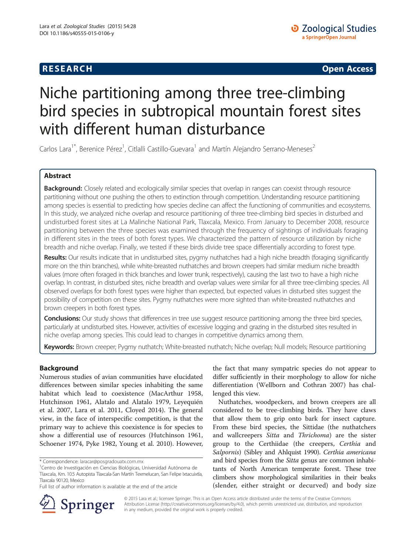**RESEARCH CHINESE ARCH CHINESE ARCH CHINESE ARCH <b>CHINESE ARCH** 

# Niche partitioning among three tree-climbing bird species in subtropical mountain forest sites with different human disturbance

Carlos Lara<sup>1\*</sup>, Berenice Pérez<sup>1</sup>, Citlalli Castillo-Guevara<sup>1</sup> and Martín Alejandro Serrano-Meneses<sup>2</sup>

# Abstract

Background: Closely related and ecologically similar species that overlap in ranges can coexist through resource partitioning without one pushing the others to extinction through competition. Understanding resource partitioning among species is essential to predicting how species decline can affect the functioning of communities and ecosystems. In this study, we analyzed niche overlap and resource partitioning of three tree-climbing bird species in disturbed and undisturbed forest sites at La Malinche National Park, Tlaxcala, Mexico. From January to December 2008, resource partitioning between the three species was examined through the frequency of sightings of individuals foraging in different sites in the trees of both forest types. We characterized the pattern of resource utilization by niche breadth and niche overlap. Finally, we tested if these birds divide tree space differentially according to forest type.

Results: Our results indicate that in undisturbed sites, pygmy nuthatches had a high niche breadth (foraging significantly more on the thin branches), while white-breasted nuthatches and brown creepers had similar medium niche breadth values (more often foraged in thick branches and lower trunk, respectively), causing the last two to have a high niche overlap. In contrast, in disturbed sites, niche breadth and overlap values were similar for all three tree-climbing species. All observed overlaps for both forest types were higher than expected, but expected values in disturbed sites suggest the possibility of competition on these sites. Pygmy nuthatches were more sighted than white-breasted nuthatches and brown creepers in both forest types.

Conclusions: Our study shows that differences in tree use suggest resource partitioning among the three bird species, particularly at undisturbed sites. However, activities of excessive logging and grazing in the disturbed sites resulted in niche overlap among species. This could lead to changes in competitive dynamics among them.

Keywords: Brown creeper; Pygmy nuthatch; White-breasted nuthatch; Niche overlap; Null models; Resource partitioning

# Background

Numerous studies of avian communities have elucidated differences between similar species inhabiting the same habitat which lead to coexistence (MacArthur [1958](#page-6-0), Hutchinson [1961,](#page-5-0) Alatalo and Alatalo [1979](#page-5-0), Leyequién et al. [2007,](#page-5-0) Lara et al. [2011](#page-5-0), Cloyed [2014\)](#page-5-0). The general view, in the face of interspecific competition, is that the primary way to achieve this coexistence is for species to show a differential use of resources (Hutchinson [1961](#page-5-0), Schoener [1974,](#page-6-0) Pyke [1982](#page-6-0), Young et al. [2010\)](#page-6-0). However,



Nuthatches, woodpeckers, and brown creepers are all considered to be tree-climbing birds. They have claws that allow them to grip onto bark for insect capture. From these bird species, the Sittidae (the nuthatchers and wallcreepers Sitta and Thrichoma) are the sister group to the Certhiidae (the creepers, Certhia and Salpornis) (Sibley and Ahlquist [1990](#page-6-0)). Certhia americana and bird species from the Sitta genus are common inhabitants of North American temperate forest. These tree climbers show morphological similarities in their beaks (slender, either straight or decurved) and body size



© 2015 Lara et al.; licensee Springer. This is an Open Access article distributed under the terms of the Creative Commons Attribution License [\(http://creativecommons.org/licenses/by/4.0\)](http://creativecommons.org/licenses/by/4.0), which permits unrestricted use, distribution, and reproduction in any medium, provided the original work is properly credited.

<sup>\*</sup> Correspondence: [laracar@posgradouatx.com.mx](mailto:laracar@posgradouatx.com.mx) <sup>1</sup>

Centro de Investigación en Ciencias Biológicas, Universidad Autónoma de Tlaxcala, Km. 10.5 Autopista Tlaxcala-San Martín Texmelucan, San Felipe Ixtacuixtla, Tlaxcala 90120, Mexico

Full list of author information is available at the end of the article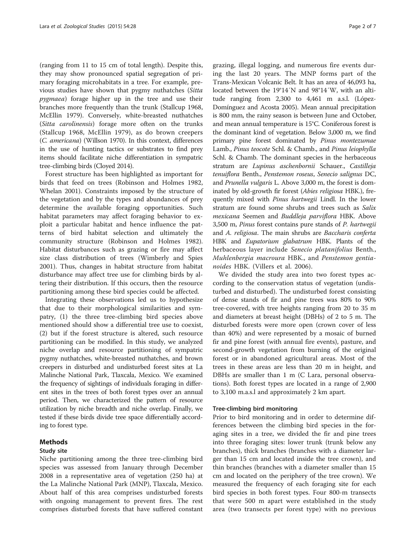(ranging from 11 to 15 cm of total length). Despite this, they may show pronounced spatial segregation of primary foraging microhabitats in a tree. For example, previous studies have shown that pygmy nuthatches (Sitta pygmaea) forage higher up in the tree and use their branches more frequently than the trunk (Stallcup [1968](#page-6-0), McEllin [1979\)](#page-6-0). Conversely, white-breasted nuthatches (Sitta carolinensis) forage more often on the trunks (Stallcup [1968,](#page-6-0) McEllin [1979](#page-6-0)), as do brown creepers (C. americana) (Willson [1970\)](#page-6-0). In this context, differences in the use of hunting tactics or substrates to find prey items should facilitate niche differentiation in sympatric tree-climbing birds (Cloyed [2014](#page-5-0)).

Forest structure has been highlighted as important for birds that feed on trees (Robinson and Holmes [1982](#page-6-0), Whelan [2001](#page-6-0)). Constraints imposed by the structure of the vegetation and by the types and abundances of prey determine the available foraging opportunities. Such habitat parameters may affect foraging behavior to exploit a particular habitat and hence influence the patterns of bird habitat selection and ultimately the community structure (Robinson and Holmes [1982](#page-6-0)). Habitat disturbances such as grazing or fire may affect size class distribution of trees (Wimberly and Spies [2001](#page-6-0)). Thus, changes in habitat structure from habitat disturbance may affect tree use for climbing birds by altering their distribution. If this occurs, then the resource partitioning among these bird species could be affected.

Integrating these observations led us to hypothesize that due to their morphological similarities and sympatry, (1) the three tree-climbing bird species above mentioned should show a differential tree use to coexist, (2) but if the forest structure is altered, such resource partitioning can be modified. In this study, we analyzed niche overlap and resource partitioning of sympatric pygmy nuthatches, white-breasted nuthatches, and brown creepers in disturbed and undisturbed forest sites at La Malinche National Park, Tlaxcala, Mexico. We examined the frequency of sightings of individuals foraging in different sites in the trees of both forest types over an annual period. Then, we characterized the pattern of resource utilization by niche breadth and niche overlap. Finally, we tested if these birds divide tree space differentially according to forest type.

# Methods

# Study site

Niche partitioning among the three tree-climbing bird species was assessed from January through December 2008 in a representative area of vegetation (250 ha) at the La Malinche National Park (MNP), Tlaxcala, Mexico. About half of this area comprises undisturbed forests with ongoing management to prevent fires. The rest comprises disturbed forests that have suffered constant

grazing, illegal logging, and numerous fire events during the last 20 years. The MNP forms part of the Trans-Mexican Volcanic Belt. It has an area of 46,093 ha, located between the 19°14′N and 98°14′W, with an altitude ranging from 2,300 to 4,461 m a.s.l. (López-Domínguez and Acosta [2005\)](#page-5-0). Mean annual precipitation is 800 mm, the rainy season is between June and October, and mean annual temperature is 15°C. Coniferous forest is the dominant kind of vegetation. Below 3,000 m, we find primary pine forest dominated by Pinus montezumae Lamb., Pinus teocote Schl. & Chamb., and Pinus leiophylla Schl. & Chamb. The dominant species in the herbaceous stratum are Lupinus aschenbornii Schauer., Castilleja tenuiflora Benth., Penstemon roseus, Senecio salignus DC, and Prunella vulgaris L. Above 3,000 m, the forest is dominated by old-growth fir forest (Abies religiosa HBK.), frequently mixed with Pinus hartwegii Lindl. In the lower stratum are found some shrubs and trees such as Salix mexicana Seemen and Buddleja parviflora HBK. Above 3,500 m, Pinus forest contains pure stands of P. hartwegii and A. religiosa. The main shrubs are Baccharis conferta HBK and Eupatorium glabatrum HBK. Plants of the herbaceous layer include Senecio platanifolius Benth., Muhlenbergia macroura HBK., and Penstemon gentianoides HBK. (Villers et al. [2006](#page-6-0)).

We divided the study area into two forest types according to the conservation status of vegetation (undisturbed and disturbed). The undisturbed forest consisting of dense stands of fir and pine trees was 80% to 90% tree-covered, with tree heights ranging from 20 to 35 m and diameters at breast height (DBHs) of 2 to 5 m. The disturbed forests were more open (crown cover of less than 40%) and were represented by a mosaic of burned fir and pine forest (with annual fire events), pasture, and second-growth vegetation from burning of the original forest or in abandoned agricultural areas. Most of the trees in these areas are less than 20 m in height, and DBHs are smaller than 1 m (C Lara, personal observations). Both forest types are located in a range of 2,900 to 3,100 m.a.s.l and approximately 2 km apart.

### Tree-climbing bird monitoring

Prior to bird monitoring and in order to determine differences between the climbing bird species in the foraging sites in a tree, we divided the fir and pine trees into three foraging sites: lower trunk (trunk below any branches), thick branches (branches with a diameter larger than 15 cm and located inside the tree crown), and thin branches (branches with a diameter smaller than 15 cm and located on the periphery of the tree crown). We measured the frequency of each foraging site for each bird species in both forest types. Four 800-m transects that were 500 m apart were established in the study area (two transects per forest type) with no previous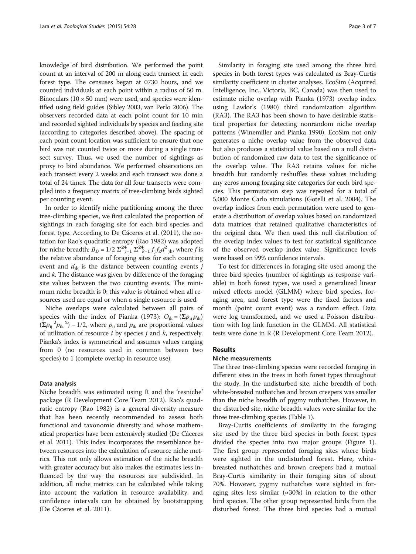knowledge of bird distribution. We performed the point count at an interval of 200 m along each transect in each forest type. The censuses began at 0730 hours, and we counted individuals at each point within a radius of 50 m. Binoculars ( $10 \times 50$  mm) were used, and species were identified using field guides (Sibley [2003](#page-6-0), van Perlo [2006](#page-6-0)). The observers recorded data at each point count for 10 min and recorded sighted individuals by species and feeding site (according to categories described above). The spacing of each point count location was sufficient to ensure that one bird was not counted twice or more during a single transect survey. Thus, we used the number of sightings as proxy to bird abundance. We performed observations on each transect every 2 weeks and each transect was done a total of 24 times. The data for all four transects were compiled into a frequency matrix of tree-climbing birds sighted per counting event.

In order to identify niche partitioning among the three tree-climbing species, we first calculated the proportion of sightings in each foraging site for each bird species and forest type. According to De Cáceres et al. ([2011\)](#page-5-0), the notation for Rao's quadratic entropy (Rao [1982\)](#page-6-0) was adopted for niche breadth:  $B_D = 1/2 \sum_{j=1}^{24} \sum_{k=1}^{24} f_j f_k d^2_{jk}$ , where f is the relative abundance of foraging sites for each counting event and  $d_{ik}$  is the distance between counting events j and k. The distance was given by difference of the foraging site values between the two counting events. The minimum niche breadth is 0; this value is obtained when all resources used are equal or when a single resource is used.

Niche overlaps were calculated between all pairs of species with the index of Pianka ([1973\)](#page-6-0):  $O_{ik} = (\Sigma p_{ii} p_{ik})$  $(\Sigma p_{ij}^2 p_{ik}^2) - 1/2$ , where  $p_{ij}$  and  $p_{ik}$  are proportional values of utilization of resource  $i$  by species  $j$  and  $k$ , respectively. Pianka's index is symmetrical and assumes values ranging from 0 (no resources used in common between two species) to 1 (complete overlap in resource use).

## Data analysis

Niche breadth was estimated using R and the 'resniche' package (R Development Core Team [2012](#page-6-0)). Rao's quadratic entropy (Rao [1982](#page-6-0)) is a general diversity measure that has been recently recommended to assess both functional and taxonomic diversity and whose mathematical properties have been extensively studied (De Cáceres et al. [2011](#page-5-0)). This index incorporates the resemblance between resources into the calculation of resource niche metrics. This not only allows estimation of the niche breadth with greater accuracy but also makes the estimates less influenced by the way the resources are subdivided. In addition, all niche metrics can be calculated while taking into account the variation in resource availability, and confidence intervals can be obtained by bootstrapping (De Cáceres et al. [2011](#page-5-0)).

Similarity in foraging site used among the three bird species in both forest types was calculated as Bray-Curtis similarity coefficient in cluster analyses. EcoSim (Acquired Intelligence, Inc., Victoria, BC, Canada) was then used to estimate niche overlap with Pianka ([1973\)](#page-6-0) overlap index using Lawlor's [\(1980](#page-5-0)) third randomization algorithm (RA3). The RA3 has been shown to have desirable statistical properties for detecting nonrandom niche overlap patterns (Winemiller and Pianka [1990](#page-6-0)). EcoSim not only generates a niche overlap value from the observed data but also produces a statistical value based on a null distribution of randomized raw data to test the significance of the overlap value. The RA3 retains values for niche breadth but randomly reshuffles these values including any zeros among foraging site categories for each bird species. This permutation step was repeated for a total of 5,000 Monte Carlo simulations (Gotelli et al. [2004\)](#page-5-0). The overlap indices from each permutation were used to generate a distribution of overlap values based on randomized data matrices that retained qualitative characteristics of the original data. We then used this null distribution of the overlap index values to test for statistical significance of the observed overlap index value. Significance levels were based on 99% confidence intervals.

To test for differences in foraging site used among the three bird species (number of sightings as response variable) in both forest types, we used a generalized linear mixed effects model (GLMM) where bird species, foraging area, and forest type were the fixed factors and month (point count event) was a random effect. Data were log transformed, and we used a Poisson distribution with log link function in the GLMM. All statistical tests were done in R (R Development Core Team [2012](#page-6-0)).

#### Results

#### Niche measurements

The three tree-climbing species were recorded foraging in different sites in the trees in both forest types throughout the study. In the undisturbed site, niche breadth of both white-breasted nuthatches and brown creepers was smaller than the niche breadth of pygmy nuthatches. However, in the disturbed site, niche breadth values were similar for the three tree-climbing species (Table [1](#page-3-0)).

Bray-Curtis coefficients of similarity in the foraging site used by the three bird species in both forest types divided the species into two major groups (Figure [1](#page-3-0)). The first group represented foraging sites where birds were sighted in the undisturbed forest. Here, whitebreasted nuthatches and brown creepers had a mutual Bray-Curtis similarity in their foraging sites of about 70%. However, pygmy nuthatches were sighted in foraging sites less similar (≈30%) in relation to the other bird species. The other group represented birds from the disturbed forest. The three bird species had a mutual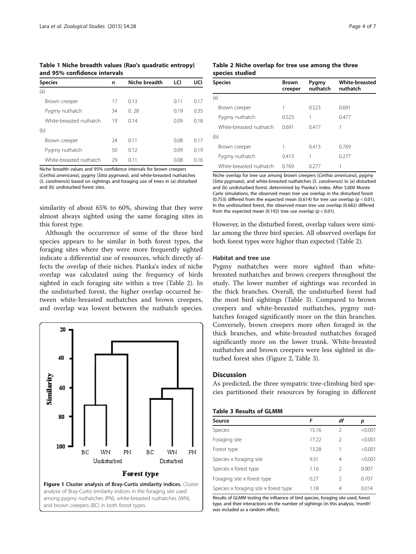<span id="page-3-0"></span>Table 1 Niche breadth values (Rao's quadratic entropy) and 95% confidence intervals

| <b>Species</b>          | n  | Niche breadth | LCI  | UCI  |
|-------------------------|----|---------------|------|------|
| (a)                     |    |               |      |      |
| Brown creeper           | 17 | 0.13          | 0.11 | 0.17 |
| Pygmy nuthatch          | 34 | 0.28          | 0.19 | 0.35 |
| White-breasted nuthatch | 19 | 014           | 0.09 | 0.18 |
| (b)                     |    |               |      |      |
| Brown creeper           | 24 | 011           | 0.08 | 0.17 |
| Pygmy nuthatch          | 50 | 0.12          | 0.09 | 0.19 |
| White-breasted nuthatch | 29 | 011           | 0.08 | 0.16 |

Niche breadth values and 95% confidence intervals for brown creepers (Certhia americana), pygmy (Sitta pygmaea), and white-breasted nuthatches (S. carolinensis) based on sightings and foraging use of trees in (a) disturbed and (b) undisturbed forest sites.

similarity of about 65% to 60%, showing that they were almost always sighted using the same foraging sites in this forest type.

Although the occurrence of some of the three bird species appears to be similar in both forest types, the foraging sites where they were more frequently sighted indicate a differential use of resources, which directly affects the overlap of their niches. Pianka's index of niche overlap was calculated using the frequency of birds sighted in each foraging site within a tree (Table 2). In the undisturbed forest, the higher overlap occurred between white-breasted nuthatches and brown creepers, and overlap was lowest between the nuthatch species.



|                 | Table 2 Niche overlap for tree use among the three |  |  |  |
|-----------------|----------------------------------------------------|--|--|--|
| species studied |                                                    |  |  |  |

| <b>Species</b>          | <b>Brown</b> | Pygmy    | <b>White-breasted</b> |
|-------------------------|--------------|----------|-----------------------|
|                         | creeper      | nuthatch | nuthatch              |
| (a)                     |              |          |                       |
| Brown creeper           |              | 0.523    | 0.691                 |
| Pygmy nuthatch          | 0.523        | 1        | 0.477                 |
| White-breasted nuthatch | 0.691        | 0.477    | 1                     |
| (b)                     |              |          |                       |
| Brown creeper           |              | 0.413    | 0.769                 |
| Pygmy nuthatch          | 0.413        | 1        | 0.277                 |
| White-breasted nuthatch | 0.769        | በ 277    |                       |

Niche overlap for tree use among brown creepers (Certhia americana), pygmy (Sitta pygmaea), and white-breasted nuthatches (S. carolinensis) in (a) disturbed and (b) undisturbed forest, determined by Pianka's index. After 5,000 Monte Carlo simulations, the observed mean tree use overlap in the disturbed forest (0.753) differed from the expected mean (0.614) for tree use overlap ( $p < 0.01$ ). In the undisturbed forest, the observed mean tree use overlap (0.682) differed from the expected mean (0.192) tree use overlap ( $p < 0.01$ ).

However, in the disturbed forest, overlap values were similar among the three bird species. All observed overlaps for both forest types were higher than expected (Table 2).

#### Habitat and tree use

Pygmy nuthatches were more sighted than whitebreasted nuthatches and brown creepers throughout the study. The lower number of sightings was recorded in the thick branches. Overall, the undisturbed forest had the most bird sightings (Table 3). Compared to brown creepers and white-breasted nuthatches, pygmy nuthatches foraged significantly more on the thin branches. Conversely, brown creepers more often foraged in the thick branches, and white-breasted nuthatches foraged significantly more on the lower trunk. White-breasted nuthatches and brown creepers were less sighted in disturbed forest sites (Figure [2](#page-4-0), Table 3).

#### **Discussion**

As predicted, the three sympatric tree-climbing bird species partitioned their resources by foraging in different

#### Table 3 Results of GLMM

| Source                                              | F     | df | р       |
|-----------------------------------------------------|-------|----|---------|
| Species                                             | 15.16 | 2  | < 0.001 |
| Foraging site                                       | 17.22 | 2  | < 0.001 |
| Forest type                                         | 13.28 | 1  | < 0.001 |
| Species $\times$ foraging site                      | 9.31  | 4  | < 0.001 |
| Species x forest type                               | 1.16  | 2  | 0.007   |
| Foraging site $\times$ forest type                  | 0.27  | 2  | 0.707   |
| Species $\times$ foraging site $\times$ forest type | 1.18  | 4  | 0.014   |

Results of GLMM testing the influence of bird species, foraging site used, forest type, and their interactions on the number of sightings (in this analysis, 'month' was included as a random effect).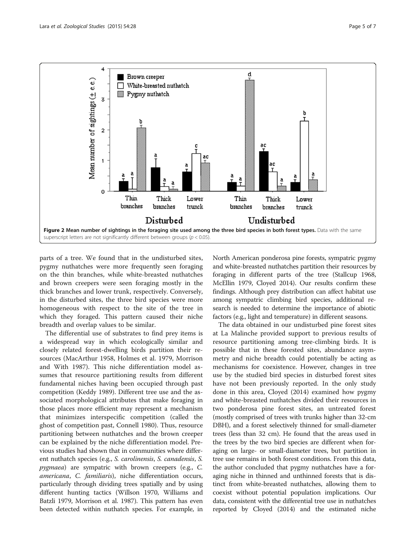<span id="page-4-0"></span>

parts of a tree. We found that in the undisturbed sites, pygmy nuthatches were more frequently seen foraging on the thin branches, while white-breasted nuthatches and brown creepers were seen foraging mostly in the thick branches and lower trunk, respectively. Conversely, in the disturbed sites, the three bird species were more homogeneous with respect to the site of the tree in which they foraged. This pattern caused their niche breadth and overlap values to be similar.

The differential use of substrates to find prey items is a widespread way in which ecologically similar and closely related forest-dwelling birds partition their resources (MacArthur [1958,](#page-6-0) Holmes et al. [1979,](#page-5-0) Morrison and With [1987](#page-6-0)). This niche differentiation model assumes that resource partitioning results from different fundamental niches having been occupied through past competition (Keddy [1989\)](#page-5-0). Different tree use and the associated morphological attributes that make foraging in those places more efficient may represent a mechanism that minimizes interspecific competition (called the ghost of competition past, Connell [1980](#page-5-0)). Thus, resource partitioning between nuthatches and the brown creeper can be explained by the niche differentiation model. Previous studies had shown that in communities where different nuthatch species (e.g., S. carolinensis, S. canadensis, S. pygmaea) are sympatric with brown creepers (e.g., C. americana, C. familiaris), niche differentiation occurs, particularly through dividing trees spatially and by using different hunting tactics (Willson [1970](#page-6-0), Williams and Batzli [1979,](#page-6-0) Morrison et al. [1987](#page-6-0)). This pattern has even been detected within nuthatch species. For example, in North American ponderosa pine forests, sympatric pygmy and white-breasted nuthatches partition their resources by foraging in different parts of the tree (Stallcup [1968](#page-6-0), McEllin [1979](#page-6-0), Cloyed [2014](#page-5-0)). Our results confirm these findings. Although prey distribution can affect habitat use among sympatric climbing bird species, additional research is needed to determine the importance of abiotic factors (e.g., light and temperature) in different seasons.

The data obtained in our undisturbed pine forest sites at La Malinche provided support to previous results of resource partitioning among tree-climbing birds. It is possible that in these forested sites, abundance asymmetry and niche breadth could potentially be acting as mechanisms for coexistence. However, changes in tree use by the studied bird species in disturbed forest sites have not been previously reported. In the only study done in this area, Cloyed ([2014](#page-5-0)) examined how pygmy and white-breasted nuthatches divided their resources in two ponderosa pine forest sites, an untreated forest (mostly comprised of trees with trunks higher than 32-cm DBH), and a forest selectively thinned for small-diameter trees (less than 32 cm). He found that the areas used in the trees by the two bird species are different when foraging on large- or small-diameter trees, but partition in tree use remains in both forest conditions. From this data, the author concluded that pygmy nuthatches have a foraging niche in thinned and unthinned forests that is distinct from white-breasted nuthatches, allowing them to coexist without potential population implications. Our data, consistent with the differential tree use in nuthatches reported by Cloyed [\(2014\)](#page-5-0) and the estimated niche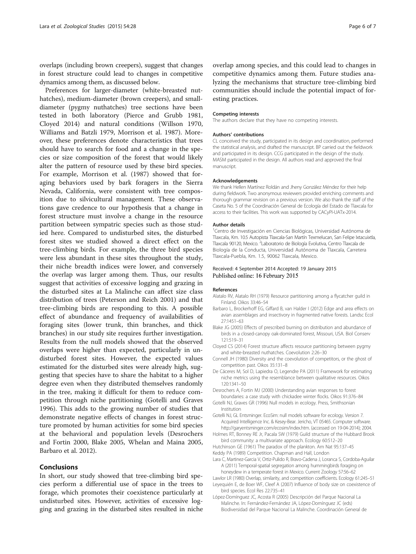<span id="page-5-0"></span>overlaps (including brown creepers), suggest that changes in forest structure could lead to changes in competitive dynamics among them, as discussed below.

Preferences for larger-diameter (white-breasted nuthatches), medium-diameter (brown creepers), and smalldiameter (pygmy nuthatches) tree sections have been tested in both laboratory (Pierce and Grubb [1981](#page-6-0), Cloyed 2014) and natural conditions (Willson [1970](#page-6-0), Williams and Batzli [1979,](#page-6-0) Morrison et al. [1987](#page-6-0)). Moreover, these preferences denote characteristics that trees should have to search for food and a change in the species or size composition of the forest that would likely alter the pattern of resource used by these bird species. For example, Morrison et al. ([1987](#page-6-0)) showed that foraging behaviors used by bark foragers in the Sierra Nevada, California, were consistent with tree composition due to silvicultural management. These observations gave credence to our hypothesis that a change in forest structure must involve a change in the resource partition between sympatric species such as those studied here. Compared to undisturbed sites, the disturbed forest sites we studied showed a direct effect on the tree-climbing birds. For example, the three bird species were less abundant in these sites throughout the study, their niche breadth indices were lower, and conversely the overlap was larger among them. Thus, our results suggest that activities of excessive logging and grazing in the disturbed sites at La Malinche can affect size class distribution of trees (Peterson and Reich [2001](#page-6-0)) and that tree-climbing birds are responding to this. A possible effect of abundance and frequency of availabilities of foraging sites (lower trunk, thin branches, and thick branches) in our study site requires further investigation. Results from the null models showed that the observed overlaps were higher than expected, particularly in undisturbed forest sites. However, the expected values estimated for the disturbed sites were already high, suggesting that species have to share the habitat to a higher degree even when they distributed themselves randomly in the tree, making it difficult for them to reduce competition through niche partitioning (Gotelli and Graves 1996). This adds to the growing number of studies that demonstrate negative effects of changes in forest structure promoted by human activities for some bird species at the behavioral and population levels (Desrochers and Fortin 2000, Blake 2005, Whelan and Maina [2005](#page-6-0), Barbaro et al. 2012).

# Conclusions

In short, our study showed that tree-climbing bird species perform a differential use of space in the trees to forage, which promotes their coexistence particularly at undisturbed sites. However, activities of excessive logging and grazing in the disturbed sites resulted in niche

overlap among species, and this could lead to changes in competitive dynamics among them. Future studies analyzing the mechanisms that structure tree-climbing bird communities should include the potential impact of foresting practices.

#### Competing interests

The authors declare that they have no competing interests.

#### Authors' contributions

CL conceived the study, participated in its design and coordination, performed the statistical analysis, and drafted the manuscript. BP carried out the fieldwork and participated in its design. CCG participated in the design of the study. MASM participated in the design. All authors read and approved the final manuscript.

#### Acknowledgements

We thank Hellen Martínez Roldán and Jheny González Méndez for their help during fieldwork. Two anonymous reviewers provided enriching comments and thorough grammar revision on a previous version. We also thank the staff of the Caseta No. 5 of the Coordinación General de Ecología del Estado de Tlaxcala for access to their facilities. This work was supported by CACyPI-UATx-2014.

#### Author details

<sup>1</sup> Centro de Investigación en Ciencias Biológicas, Universidad Autónoma de Tlaxcala, Km. 10.5 Autopista Tlaxcala-San Martín Texmelucan, San Felipe Ixtacuixtla, Tlaxcala 90120, Mexico. <sup>2</sup>Laboratorio de Biología Evolutiva, Centro Tlaxcala de Biología de la Conducta, Universidad Autónoma de Tlaxcala, Carretera Tlaxcala-Puebla, Km. 1.5, 90062 Tlaxcala, Mexico.

#### Received: 4 September 2014 Accepted: 19 January 2015 Published online: 16 February 2015

#### References

- Alatalo RV, Alatalo RH (1979) Resource partitioning among a flycatcher guild in Finland. Oikos 33:46–54
- Barbaro L, Brockerhoff EG, Giffard B, van Halder I (2012) Edge and area effects on avian assemblages and insectivory in fragmented native forests. Landsc Ecol 27:1451–63
- Blake JG (2005) Effects of prescribed burning on distribution and abundance of birds in a closed-canopy oak-dominated forest, Missouri, USA. Biol Conserv 121:519–31
- Cloyed CS (2014) Forest structure affects resource partitioning between pygmy and white-breasted nuthatches. Coevolution 2:26–30
- Connell JH (1980) Diversity and the coevolution of competitors, or the ghost of competition past. Oikos 35:131–8
- De Cáceres M, Sol D, Lapiedra O, Legendre PA (2011) Framework for estimating niche metrics using the resemblance between qualitative resources. Oikos 120:1341–50
- Desrochers A, Fortin MJ (2000) Understanding avian responses to forest boundaries: a case study with chickadee winter flocks. Oikos 91:376–84
- Gotelli NJ, Graves GR (1996) Null models in ecology. Press, Smithsonian Institution
- Gotelli NJ, GL Entsminger. EcoSim: null models software for ecology. Version 7. Acquired Intelligence Inc. & Kesey-Bear. Jericho, VT 05465. Computer software. [http://garyentsminger.com/ecosim/index.htm.](http://garyentsminger.com/ecosim/index.htm) (accessed on 19-04-2014); 2004.
- Holmes RT, Bonney RE Jr, Pacala SW (1979) Guild structure of the Hubbard Brook bird community: a multivariate approach. Ecology 60:512–20
- Hutchinson GE (1961) The paradox of the plankton. Am Nat 95:137–45 Keddy PA (1989) Competition. Chapman and Hall, London
- Lara C, Martinez-Garcia V, Ortiz-Pulido R, Bravo-Cadena J, Loranca S, Cordoba-Aguilar A (2011) Temporal-spatial segregation among hummingbirds foraging on honeydew in a temperate forest in Mexico. Current Zoology 57:56–62
- Lawlor LR (1980) Overlap, similarity, and competition coefficients. Ecology 61:245–51 Leyequién E, de Boer WF, Cleef A (2007) Influence of body size on coexistence of
- bird species. Ecol Res 22:735–41
- López-Domínguez JC, Acosta R (2005) Descripción del Parque Nacional La Malinche. In: Fernández-Fernández JA, López-Domínguez JC (eds) Biodiversidad del Parque Nacional La Malinche. Coordinación General de